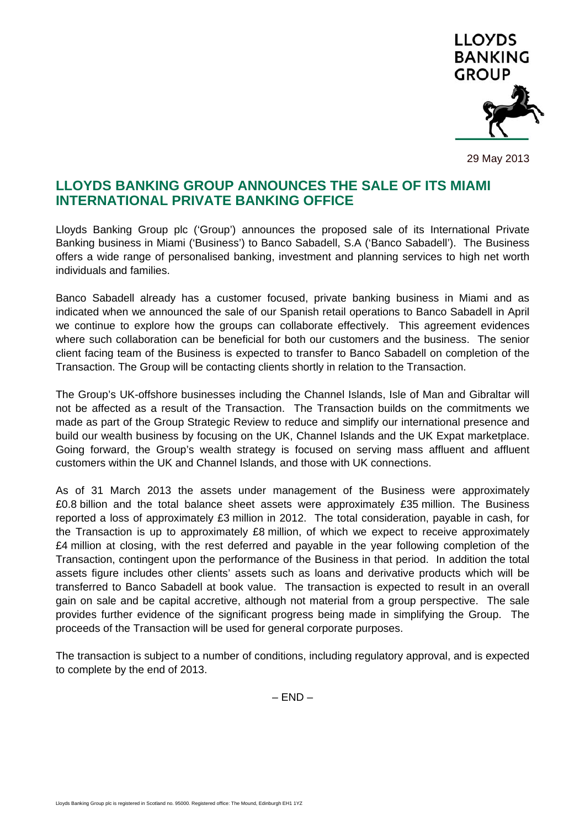

29 May 2013

## **LLOYDS BANKING GROUP ANNOUNCES THE SALE OF ITS MIAMI INTERNATIONAL PRIVATE BANKING OFFICE**

Lloyds Banking Group plc ('Group') announces the proposed sale of its International Private Banking business in Miami ('Business') to Banco Sabadell, S.A ('Banco Sabadell'). The Business offers a wide range of personalised banking, investment and planning services to high net worth individuals and families.

Banco Sabadell already has a customer focused, private banking business in Miami and as indicated when we announced the sale of our Spanish retail operations to Banco Sabadell in April we continue to explore how the groups can collaborate effectively. This agreement evidences where such collaboration can be beneficial for both our customers and the business. The senior client facing team of the Business is expected to transfer to Banco Sabadell on completion of the Transaction. The Group will be contacting clients shortly in relation to the Transaction.

The Group's UK-offshore businesses including the Channel Islands, Isle of Man and Gibraltar will not be affected as a result of the Transaction. The Transaction builds on the commitments we made as part of the Group Strategic Review to reduce and simplify our international presence and build our wealth business by focusing on the UK, Channel Islands and the UK Expat marketplace. Going forward, the Group's wealth strategy is focused on serving mass affluent and affluent customers within the UK and Channel Islands, and those with UK connections.

As of 31 March 2013 the assets under management of the Business were approximately £0.8 billion and the total balance sheet assets were approximately £35 million. The Business reported a loss of approximately £3 million in 2012. The total consideration, payable in cash, for the Transaction is up to approximately £8 million, of which we expect to receive approximately £4 million at closing, with the rest deferred and payable in the year following completion of the Transaction, contingent upon the performance of the Business in that period. In addition the total assets figure includes other clients' assets such as loans and derivative products which will be transferred to Banco Sabadell at book value. The transaction is expected to result in an overall gain on sale and be capital accretive, although not material from a group perspective. The sale provides further evidence of the significant progress being made in simplifying the Group. The proceeds of the Transaction will be used for general corporate purposes.

The transaction is subject to a number of conditions, including regulatory approval, and is expected to complete by the end of 2013.

– END –